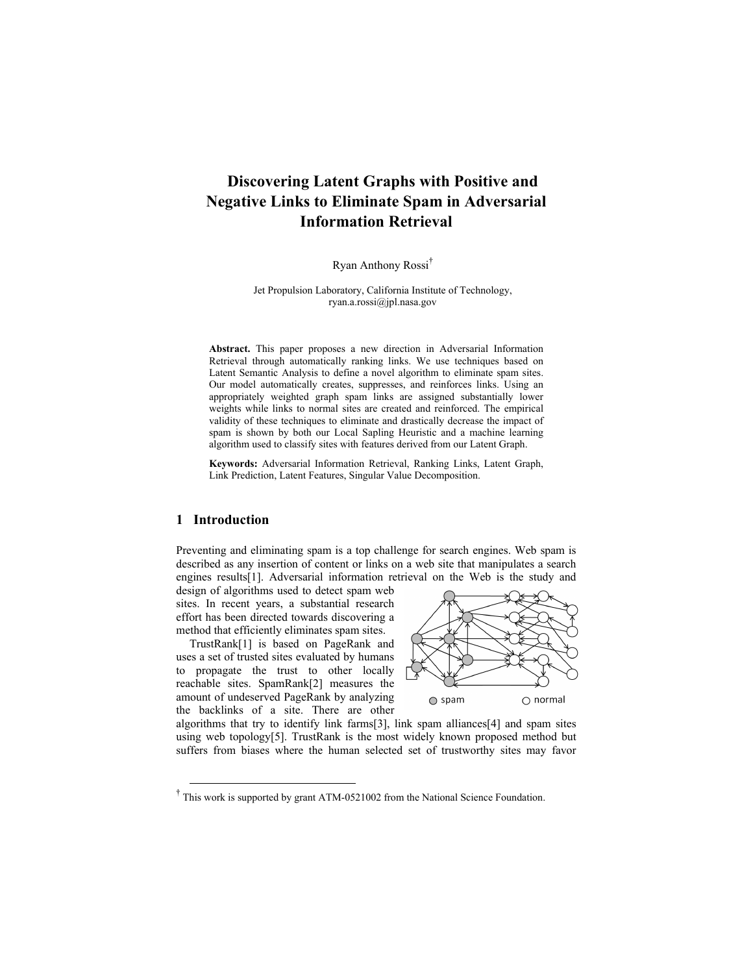# **Discovering Latent Graphs with Positive and Negative Links to Eliminate Spam in Adversarial Information Retrieval**

Ryan Anthony Rossi†

Jet Propulsion Laboratory, California Institute of Technology, ryan.a.rossi@jpl.nasa.gov

**Abstract.** This paper proposes a new direction in Adversarial Information Retrieval through automatically ranking links. We use techniques based on Latent Semantic Analysis to define a novel algorithm to eliminate spam sites. Our model automatically creates, suppresses, and reinforces links. Using an appropriately weighted graph spam links are assigned substantially lower weights while links to normal sites are created and reinforced. The empirical validity of these techniques to eliminate and drastically decrease the impact of spam is shown by both our Local Sapling Heuristic and a machine learning algorithm used to classify sites with features derived from our Latent Graph.

**Keywords:** Adversarial Information Retrieval, Ranking Links, Latent Graph, Link Prediction, Latent Features, Singular Value Decomposition.

## **1 Introduction**

Preventing and eliminating spam is a top challenge for search engines. Web spam is described as any insertion of content or links on a web site that manipulates a search engines results[1]. Adversarial information retrieval on the Web is the study and

design of algorithms used to detect spam web sites. In recent years, a substantial research effort has been directed towards discovering a method that efficiently eliminates spam sites.

TrustRank[1] is based on PageRank and uses a set of trusted sites evaluated by humans to propagate the trust to other locally reachable sites. SpamRank[2] measures the amount of undeserved PageRank by analyzing the backlinks of a site. There are other



algorithms that try to identify link farms  $[3]$ , link spam alliances  $[4]$  and spam sites using web topology[5]. TrustRank is the most widely known proposed method but suffers from biases where the human selected set of trustworthy sites may favor

 <sup>†</sup> This work is supported by grant ATM-0521002 from the National Science Foundation.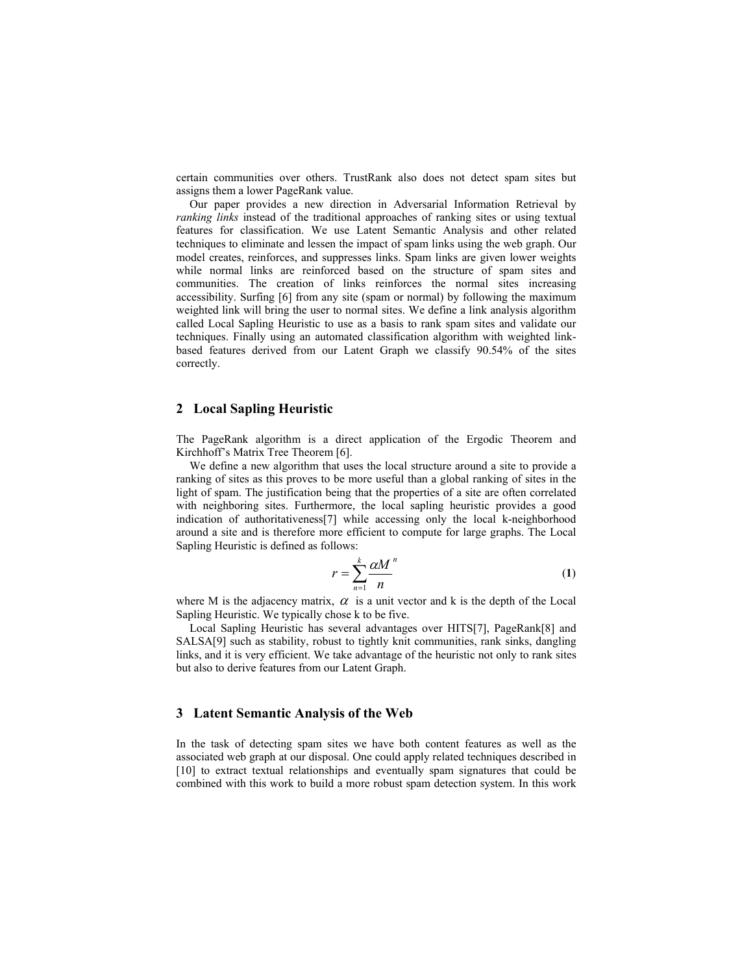certain communities over others. TrustRank also does not detect spam sites but assigns them a lower PageRank value.

Our paper provides a new direction in Adversarial Information Retrieval by *ranking links* instead of the traditional approaches of ranking sites or using textual features for classification. We use Latent Semantic Analysis and other related techniques to eliminate and lessen the impact of spam links using the web graph. Our model creates, reinforces, and suppresses links. Spam links are given lower weights while normal links are reinforced based on the structure of spam sites and communities. The creation of links reinforces the normal sites increasing accessibility. Surfing [6] from any site (spam or normal) by following the maximum weighted link will bring the user to normal sites. We define a link analysis algorithm called Local Sapling Heuristic to use as a basis to rank spam sites and validate our techniques. Finally using an automated classification algorithm with weighted linkbased features derived from our Latent Graph we classify 90.54% of the sites correctly.

#### **2 Local Sapling Heuristic**

The PageRank algorithm is a direct application of the Ergodic Theorem and Kirchhoff's Matrix Tree Theorem [6].

We define a new algorithm that uses the local structure around a site to provide a ranking of sites as this proves to be more useful than a global ranking of sites in the light of spam. The justification being that the properties of a site are often correlated with neighboring sites. Furthermore, the local sapling heuristic provides a good indication of authoritativeness[7] while accessing only the local k-neighborhood around a site and is therefore more efficient to compute for large graphs. The Local Sapling Heuristic is defined as follows:

$$
r = \sum_{n=1}^{k} \frac{\alpha M^n}{n}
$$
 (1)

where M is the adjacency matrix,  $\alpha$  is a unit vector and k is the depth of the Local Sapling Heuristic. We typically chose k to be five.

Local Sapling Heuristic has several advantages over HITS[7], PageRank[8] and SALSA[9] such as stability, robust to tightly knit communities, rank sinks, dangling links, and it is very efficient. We take advantage of the heuristic not only to rank sites but also to derive features from our Latent Graph.

#### **3 Latent Semantic Analysis of the Web**

In the task of detecting spam sites we have both content features as well as the associated web graph at our disposal. One could apply related techniques described in [10] to extract textual relationships and eventually spam signatures that could be combined with this work to build a more robust spam detection system. In this work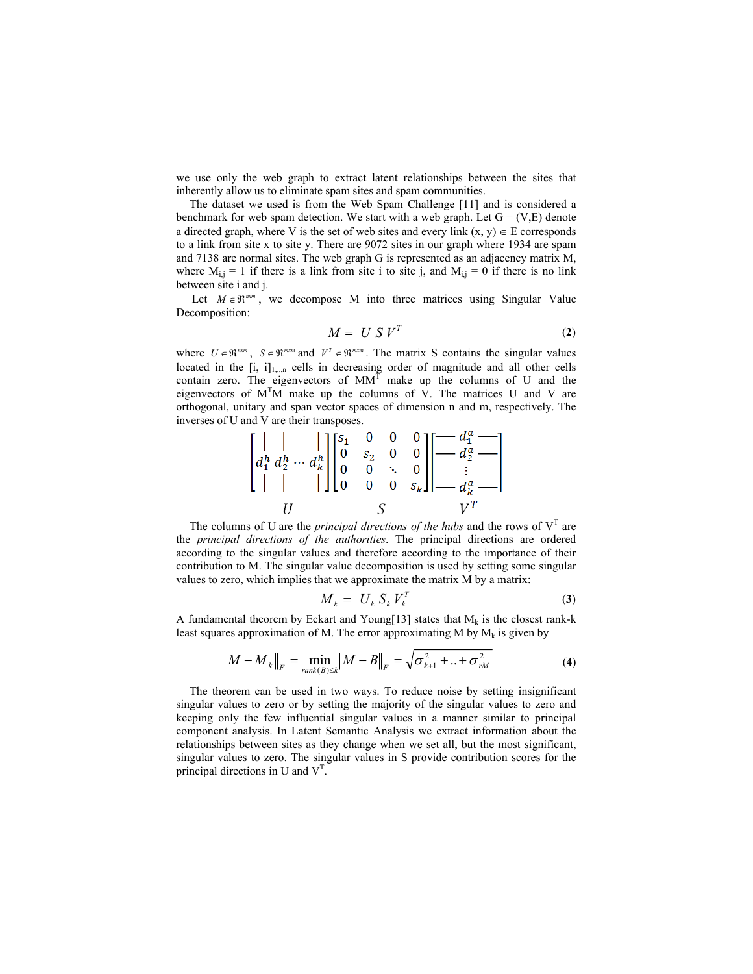we use only the web graph to extract latent relationships between the sites that inherently allow us to eliminate spam sites and spam communities.

The dataset we used is from the Web Spam Challenge [11] and is considered a benchmark for web spam detection. We start with a web graph. Let  $G = (V,E)$  denote a directed graph, where V is the set of web sites and every link  $(x, y) \in E$  corresponds to a link from site x to site y. There are 9072 sites in our graph where 1934 are spam and 7138 are normal sites. The web graph G is represented as an adjacency matrix M, where  $M_{i,j} = 1$  if there is a link from site i to site j, and  $M_{i,j} = 0$  if there is no link between site i and j.

Let  $M \in \mathbb{R}^{n \times m}$ , we decompose M into three matrices using Singular Value Decomposition:

$$
M = U S VT
$$
 (2)

where  $U \in \mathbb{R}^{n \times m}$ ,  $S \in \mathbb{R}^{m \times m}$  and  $V^T \in \mathbb{R}^{m \times m}$ . The matrix S contains the singular values located in the  $[i, i]_{1,\dots,n}$  cells in decreasing order of magnitude and all other cells contain zero. The eigenvectors of  $MM<sup>T</sup>$  make up the columns of U and the eigenvectors of  $M<sup>T</sup>M$  make up the columns of  $\hat{V}$ . The matrices U and V are orthogonal, unitary and span vector spaces of dimension n and m, respectively. The inverses of U and V are their transposes.  $\overline{10}$ 

$$
\begin{bmatrix}\n| & | & | \\
d_1^h d_2^h \cdots d_k^h \\
| & | & | \n\end{bmatrix}\n\begin{bmatrix}\ns_1 & 0 & 0 & 0 \\
0 & s_2 & 0 & 0 \\
0 & 0 & \ddots & 0 \\
0 & 0 & 0 & s_k\n\end{bmatrix}\n\begin{bmatrix}\n-d_1^a \\
-d_2^a \\
\vdots \\
-d_k^a \\
d_k^a\n\end{bmatrix}
$$

The columns of U are the *principal directions of the hubs* and the rows of  $V<sup>T</sup>$  are the *principal directions of the authorities*. The principal directions are ordered according to the singular values and therefore according to the importance of their contribution to M. The singular value decomposition is used by setting some singular values to zero, which implies that we approximate the matrix M by a matrix:

$$
M_k = U_k S_k V_k^T \tag{3}
$$

A fundamental theorem by Eckart and Young[13] states that  $M_k$  is the closest rank-k least squares approximation of M. The error approximating M by  $M_k$  is given by

$$
||M - M_k||_F = \min_{rank(B) \le k} ||M - B||_F = \sqrt{\sigma_{k+1}^2 + ... + \sigma_{rM}^2}
$$
(4)

The theorem can be used in two ways. To reduce noise by setting insignificant singular values to zero or by setting the majority of the singular values to zero and keeping only the few influential singular values in a manner similar to principal component analysis. In Latent Semantic Analysis we extract information about the relationships between sites as they change when we set all, but the most significant, singular values to zero. The singular values in S provide contribution scores for the principal directions in U and  $V<sup>T</sup>$ .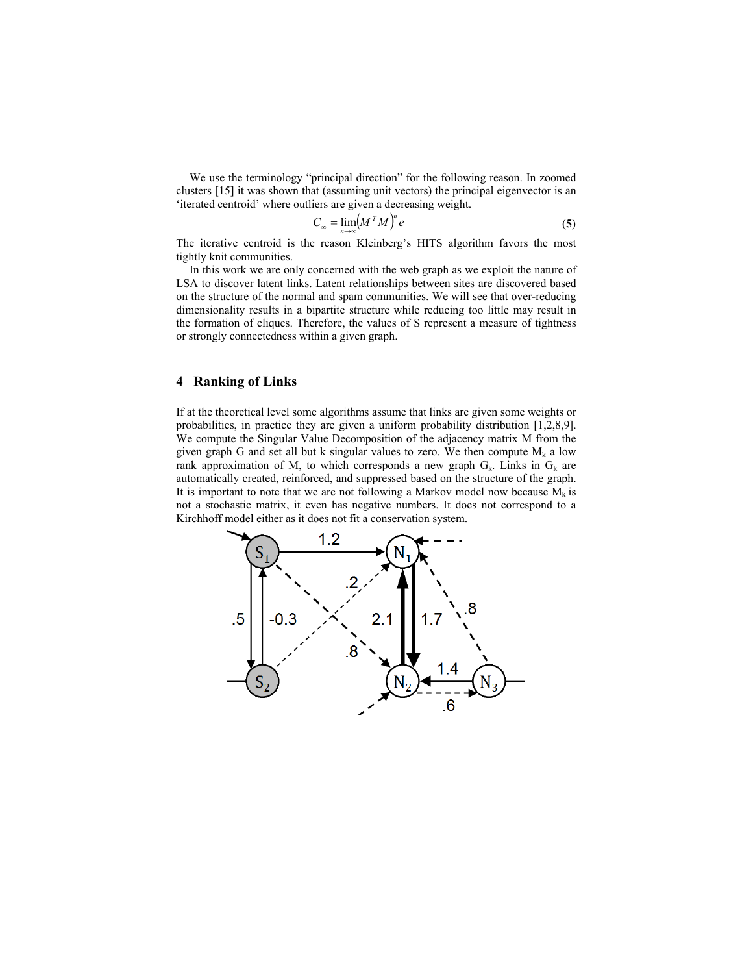We use the terminology "principal direction" for the following reason. In zoomed clusters [15] it was shown that (assuming unit vectors) the principal eigenvector is an 'iterated centroid' where outliers are given a decreasing weight.

$$
C_{\infty} = \lim_{n \to \infty} (M^T M)^n e \tag{5}
$$

The iterative centroid is the reason Kleinberg's HITS algorithm favors the most tightly knit communities.

In this work we are only concerned with the web graph as we exploit the nature of LSA to discover latent links. Latent relationships between sites are discovered based on the structure of the normal and spam communities. We will see that over-reducing dimensionality results in a bipartite structure while reducing too little may result in the formation of cliques. Therefore, the values of S represent a measure of tightness or strongly connectedness within a given graph.

## **4 Ranking of Links**

If at the theoretical level some algorithms assume that links are given some weights or probabilities, in practice they are given a uniform probability distribution [1,2,8,9]. We compute the Singular Value Decomposition of the adjacency matrix M from the given graph G and set all but k singular values to zero. We then compute  $M_k$  a low rank approximation of M, to which corresponds a new graph  $G_k$ . Links in  $G_k$  are automatically created, reinforced, and suppressed based on the structure of the graph. It is important to note that we are not following a Markov model now because  $M_k$  is not a stochastic matrix, it even has negative numbers. It does not correspond to a Kirchhoff model either as it does not fit a conservation system.

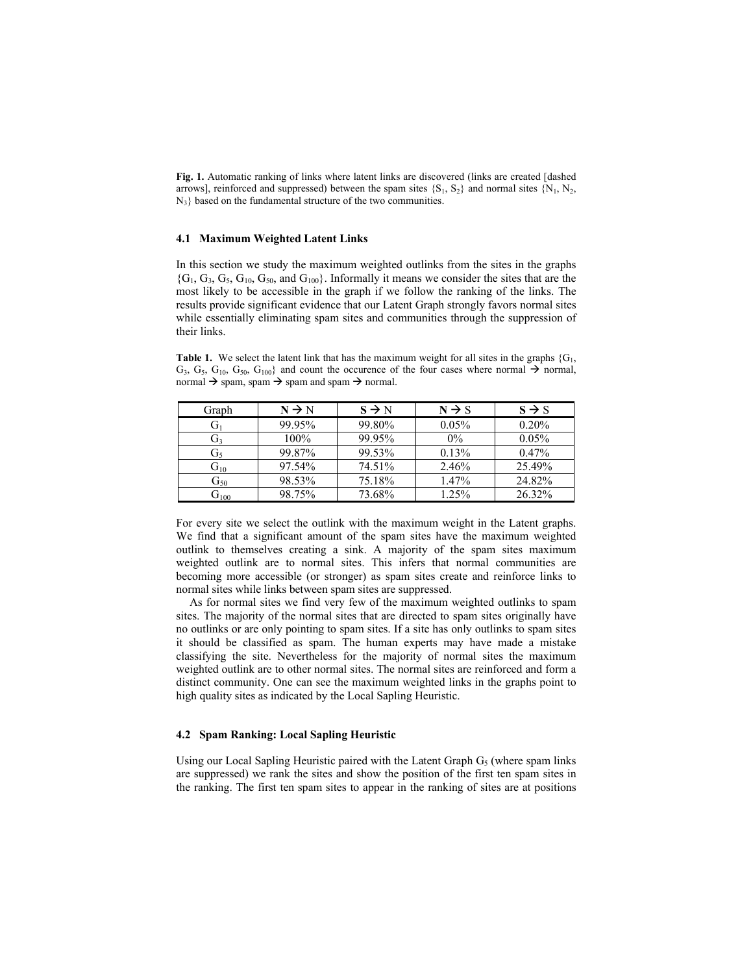**Fig. 1.** Automatic ranking of links where latent links are discovered (links are created [dashed arrows], reinforced and suppressed) between the spam sites  $\{S_1, S_2\}$  and normal sites  $\{N_1, N_2,$  $N_3$ } based on the fundamental structure of the two communities.

#### **4.1 Maximum Weighted Latent Links**

In this section we study the maximum weighted outlinks from the sites in the graphs  ${G_1, G_3, G_5, G_{10}, G_{50}}$ , and  $G_{100}$ . Informally it means we consider the sites that are the most likely to be accessible in the graph if we follow the ranking of the links. The results provide significant evidence that our Latent Graph strongly favors normal sites while essentially eliminating spam sites and communities through the suppression of their links.

**Table 1.** We select the latent link that has the maximum weight for all sites in the graphs  $\{G_1, G_2, G_3, G_4, G_5, G_6, G_7, G_8, G_9, G_9, G_{10}, G_{11}, G_{12}, G_{13}, G_{14}, G_{15}, G_{16}, G_{17}, G_{18}, G_{19}, G_{10}, G_{11}, G_{12}, G_{13}, G_{14}, G_{15}, G_{16},$  $G_3, G_5, G_{10}, G_{50}, G_{100}$  and count the occurence of the four cases where normal  $\rightarrow$  normal, normal  $\rightarrow$  spam, spam  $\rightarrow$  spam and spam  $\rightarrow$  normal.

| Graph             | $N \rightarrow N$ | $S \rightarrow N$ | $N \rightarrow S$ | $S \rightarrow S$ |
|-------------------|-------------------|-------------------|-------------------|-------------------|
|                   | 99.95%            | 99.80%            | 0.05%             | 0.20%             |
| Ū٦                | 100%              | 99.95%            | $0\%$             | 0.05%             |
| G٠                | 99.87%            | 99.53%            | 0.13%             | $0.47\%$          |
| $G_{10}$          | 97.54%            | 74.51%            | 2.46%             | 25.49%            |
| $\mathrm{G}_{50}$ | 98.53%            | 75.18%            | 1.47%             | 24.82%            |
| $U_{100}$         | 98.75%            | 73.68%            | 1.25%             | 26.32%            |

For every site we select the outlink with the maximum weight in the Latent graphs. We find that a significant amount of the spam sites have the maximum weighted outlink to themselves creating a sink. A majority of the spam sites maximum weighted outlink are to normal sites. This infers that normal communities are becoming more accessible (or stronger) as spam sites create and reinforce links to normal sites while links between spam sites are suppressed.

As for normal sites we find very few of the maximum weighted outlinks to spam sites. The majority of the normal sites that are directed to spam sites originally have no outlinks or are only pointing to spam sites. If a site has only outlinks to spam sites it should be classified as spam. The human experts may have made a mistake classifying the site. Nevertheless for the majority of normal sites the maximum weighted outlink are to other normal sites. The normal sites are reinforced and form a distinct community. One can see the maximum weighted links in the graphs point to high quality sites as indicated by the Local Sapling Heuristic.

#### **4.2 Spam Ranking: Local Sapling Heuristic**

Using our Local Sapling Heuristic paired with the Latent Graph  $G<sub>5</sub>$  (where spam links are suppressed) we rank the sites and show the position of the first ten spam sites in the ranking. The first ten spam sites to appear in the ranking of sites are at positions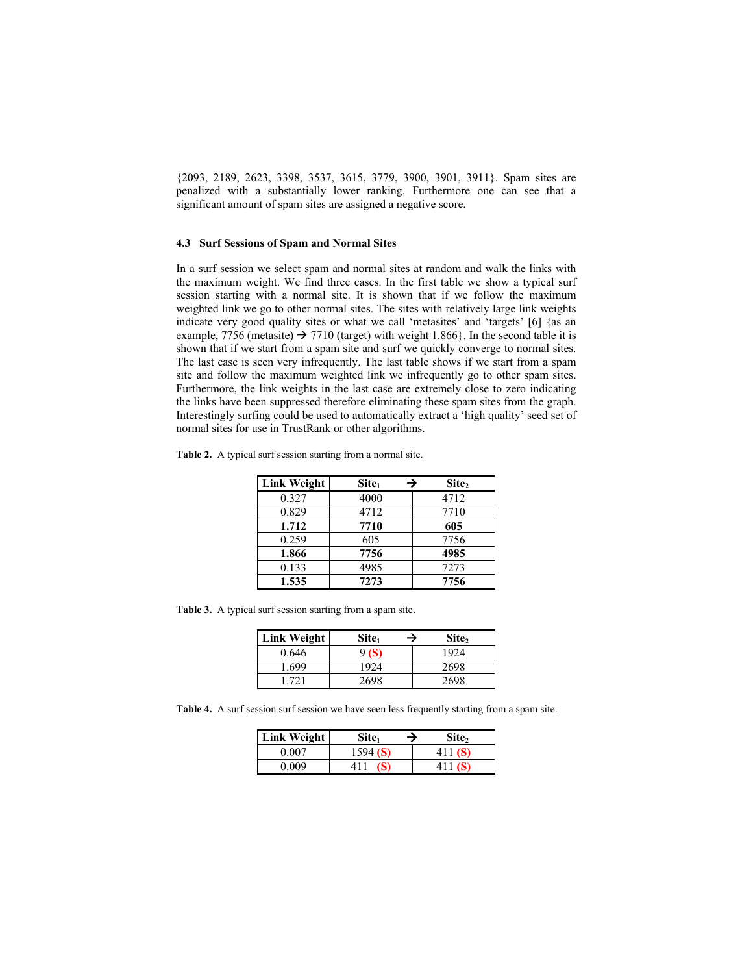{2093, 2189, 2623, 3398, 3537, 3615, 3779, 3900, 3901, 3911}. Spam sites are penalized with a substantially lower ranking. Furthermore one can see that a significant amount of spam sites are assigned a negative score.

#### **4.3 Surf Sessions of Spam and Normal Sites**

In a surf session we select spam and normal sites at random and walk the links with the maximum weight. We find three cases. In the first table we show a typical surf session starting with a normal site. It is shown that if we follow the maximum weighted link we go to other normal sites. The sites with relatively large link weights indicate very good quality sites or what we call 'metasites' and 'targets' [6] {as an example, 7756 (metasite)  $\rightarrow$  7710 (target) with weight 1.866}. In the second table it is shown that if we start from a spam site and surf we quickly converge to normal sites. The last case is seen very infrequently. The last table shows if we start from a spam site and follow the maximum weighted link we infrequently go to other spam sites. Furthermore, the link weights in the last case are extremely close to zero indicating the links have been suppressed therefore eliminating these spam sites from the graph. Interestingly surfing could be used to automatically extract a 'high quality' seed set of normal sites for use in TrustRank or other algorithms.

|  |  |  | <b>Table 2.</b> A typical surf session starting from a normal site. |
|--|--|--|---------------------------------------------------------------------|
|--|--|--|---------------------------------------------------------------------|

| <b>Link Weight</b> | Site <sub>1</sub> | Site,<br>→ |
|--------------------|-------------------|------------|
| 0.327              | 4000              | 4712       |
| 0.829              | 4712              | 7710       |
| 1.712              | 7710              | 605        |
| 0.259              | 605               | 7756       |
| 1.866              | 7756              | 4985       |
| 0.133              | 4985              | 7273       |
| 1.535              | 7273              | 7756       |

**Table 3.** A typical surf session starting from a spam site.

| <b>Link Weight</b> | Site <sub>1</sub><br>→ | Site, |
|--------------------|------------------------|-------|
| 0.646              | 9 (S)                  | 1924  |
| 1.699              | 1924                   | 2698  |
| -721               | 2698                   | 2698  |

**Table 4.** A surf session surf session we have seen less frequently starting from a spam site.

| Link Weight | Site <sub>1</sub> | Site <sub>2</sub> |
|-------------|-------------------|-------------------|
| 0.007       | 1594(S)           | 411 $(S)$         |
| 0.009       |                   | 411 $(S)$         |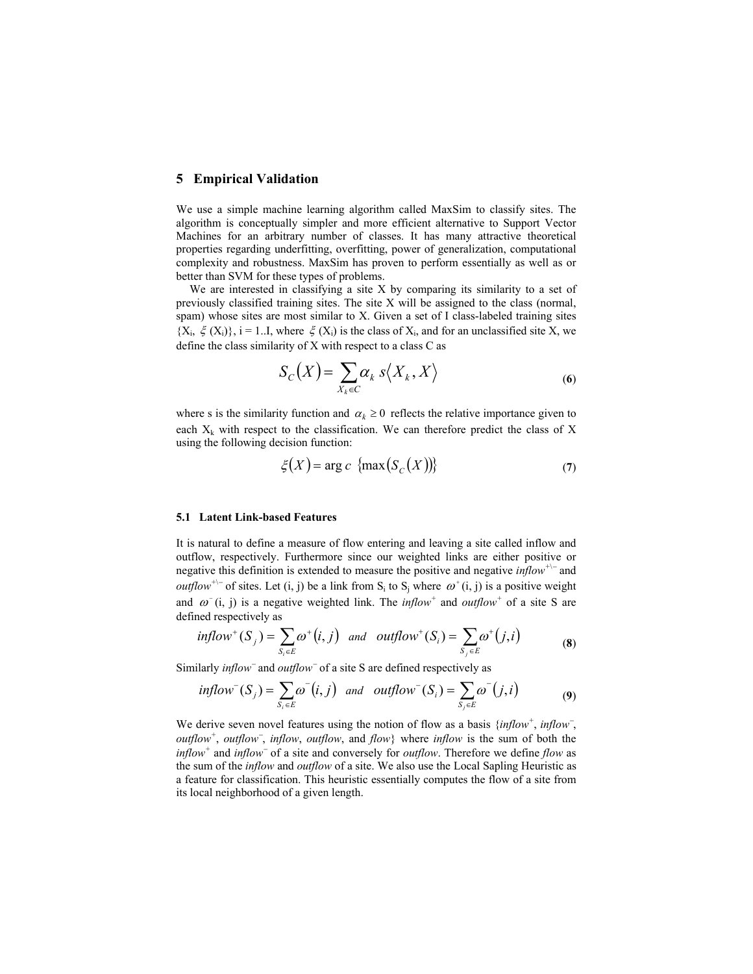## **5 Empirical Validation**

We use a simple machine learning algorithm called MaxSim to classify sites. The algorithm is conceptually simpler and more efficient alternative to Support Vector Machines for an arbitrary number of classes. It has many attractive theoretical properties regarding underfitting, overfitting, power of generalization, computational complexity and robustness. MaxSim has proven to perform essentially as well as or better than SVM for these types of problems.

We are interested in classifying a site X by comparing its similarity to a set of previously classified training sites. The site X will be assigned to the class (normal, spam) whose sites are most similar to X. Given a set of I class-labeled training sites  ${X_i, \xi(X_i)}$ , i = 1..I, where  $\xi(X_i)$  is the class of  $X_i$ , and for an unclassified site X, we define the class similarity of X with respect to a class C as

$$
S_C(X) = \sum_{X_k \in C} \alpha_k \, s \langle X_k, X \rangle \tag{6}
$$

where s is the similarity function and  $\alpha_k \geq 0$  reflects the relative importance given to each  $X_k$  with respect to the classification. We can therefore predict the class of X using the following decision function:

$$
\xi(X) = \arg c \, \left\{ \max \left( S_C(X) \right) \right\} \tag{7}
$$

#### **5.1 Latent Link-based Features**

It is natural to define a measure of flow entering and leaving a site called inflow and outflow, respectively. Furthermore since our weighted links are either positive or negative this definition is extended to measure the positive and negative *inflow<sup>+</sup>*\− and *outflow*<sup>+\−</sup> of sites. Let (i, j) be a link from S<sub>i</sub> to S<sub>i</sub> where  $\omega^+(i, j)$  is a positive weight and  $\omega^-(i, j)$  is a negative weighted link. The *inflow*<sup>+</sup> and *outflow*<sup>+</sup> of a site S are defined respectively as

$$
inflow^+(S_j) = \sum_{S_i \in E} \omega^+(i, j) \quad and \quad outflow^+(S_i) = \sum_{S_j \in E} \omega^+(j, i) \tag{8}
$$

Similarly *inflow*− and *outflow*− of a site S are defined respectively as

$$
inflow^-(S_j) = \sum_{S_i \in E} \omega^-(i, j) \quad and \quad outflow^-(S_i) = \sum_{S_j \in E} \omega^-(j, i) \tag{9}
$$

We derive seven novel features using the notion of flow as a basis {*inflow<sup>+</sup>*, *inflow<sup>-</sup>*, *outflow<sup>+</sup>* , *outflow*<sup>−</sup> , *inflow*, *outflow*, and *flow*} where *inflow* is the sum of both the *inflow<sup>+</sup>* and *inflow*<sup>−</sup> of a site and conversely for *outflow*. Therefore we define *flow* as the sum of the *inflow* and *outflow* of a site. We also use the Local Sapling Heuristic as a feature for classification. This heuristic essentially computes the flow of a site from its local neighborhood of a given length.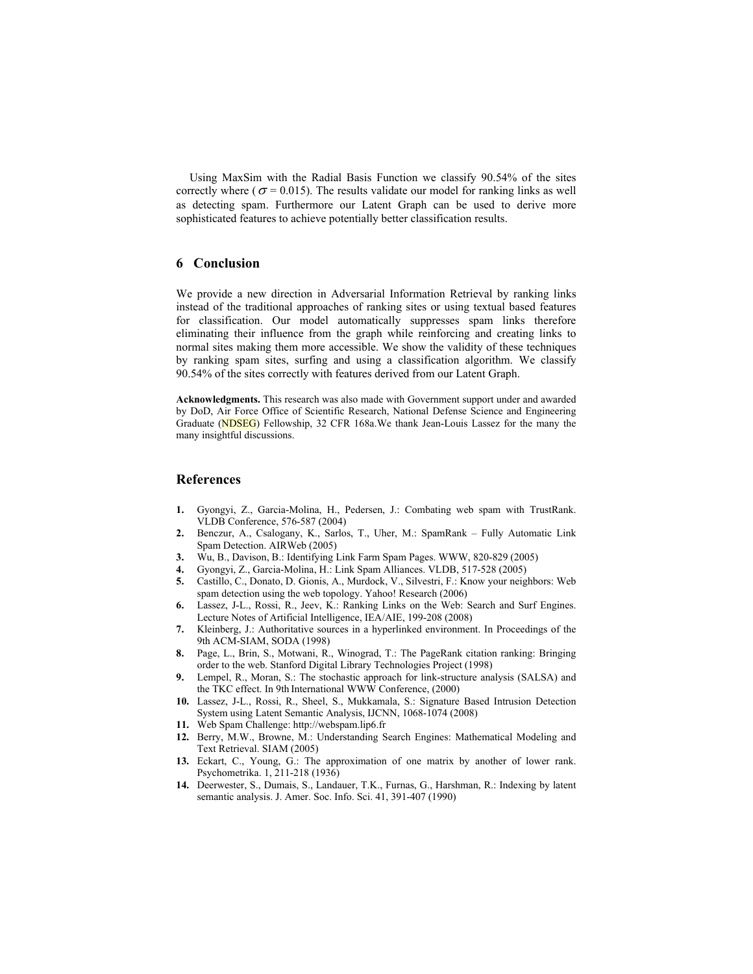Using MaxSim with the Radial Basis Function we classify 90.54% of the sites correctly where ( $\sigma$  = 0.015). The results validate our model for ranking links as well as detecting spam. Furthermore our Latent Graph can be used to derive more sophisticated features to achieve potentially better classification results.

## **6 Conclusion**

We provide a new direction in Adversarial Information Retrieval by ranking links instead of the traditional approaches of ranking sites or using textual based features for classification. Our model automatically suppresses spam links therefore eliminating their influence from the graph while reinforcing and creating links to normal sites making them more accessible. We show the validity of these techniques by ranking spam sites, surfing and using a classification algorithm. We classify 90.54% of the sites correctly with features derived from our Latent Graph.

**Acknowledgments.** This research was also made with Government support under and awarded by DoD, Air Force Office of Scientific Research, National Defense Science and Engineering Graduate (NDSEG) Fellowship, 32 CFR 168a.We thank Jean-Louis Lassez for the many the many insightful discussions.

#### **References**

- **1.** Gyongyi, Z., Garcia-Molina, H., Pedersen, J.: Combating web spam with TrustRank. VLDB Conference, 576-587 (2004)
- **2.** Benczur, A., Csalogany, K., Sarlos, T., Uher, M.: SpamRank Fully Automatic Link Spam Detection. AIRWeb (2005)
- **3.** Wu, B., Davison, B.: Identifying Link Farm Spam Pages. WWW, 820-829 (2005)
- **4.** Gyongyi, Z., Garcia-Molina, H.: Link Spam Alliances. VLDB, 517-528 (2005)
- **5.** Castillo, C., Donato, D. Gionis, A., Murdock, V., Silvestri, F.: Know your neighbors: Web spam detection using the web topology. Yahoo! Research (2006)
- **6.** Lassez, J-L., Rossi, R., Jeev, K.: Ranking Links on the Web: Search and Surf Engines. Lecture Notes of Artificial Intelligence, IEA/AIE, 199-208 (2008)
- **7.** Kleinberg, J.: Authoritative sources in a hyperlinked environment. In Proceedings of the 9th ACM-SIAM, SODA (1998)
- **8.** Page, L., Brin, S., Motwani, R., Winograd, T.: The PageRank citation ranking: Bringing order to the web. Stanford Digital Library Technologies Project (1998)
- **9.** Lempel, R., Moran, S.: The stochastic approach for link-structure analysis (SALSA) and the TKC effect. In 9th International WWW Conference, (2000)
- **10.** Lassez, J-L., Rossi, R., Sheel, S., Mukkamala, S.: Signature Based Intrusion Detection System using Latent Semantic Analysis, IJCNN, 1068-1074 (2008)
- **11.** Web Spam Challenge: http://webspam.lip6.fr
- **12.** Berry, M.W., Browne, M.: Understanding Search Engines: Mathematical Modeling and Text Retrieval. SIAM (2005)
- **13.** Eckart, C., Young, G.: The approximation of one matrix by another of lower rank. Psychometrika. 1, 211-218 (1936)
- **14.** Deerwester, S., Dumais, S., Landauer, T.K., Furnas, G., Harshman, R.: Indexing by latent semantic analysis. J. Amer. Soc. Info. Sci. 41, 391-407 (1990)